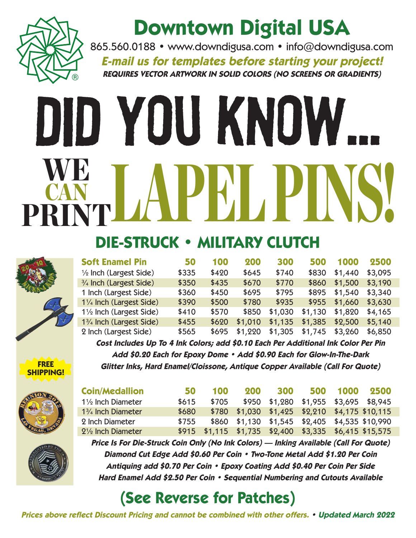

## **Downtown Digital USA**

865.560.0188 • www.downdigusa.com • info@downdigusa.com **E-mail us for templates before starting your project! REQUIRES VECTOR ARTWORK IN SOLID COLORS (NO SCREENS OR GRADIENTS)**

# Did You Know... TLAPEL PINS! CAN PRINT

### **DIE-STRUCK • MILITARY CLUTCH**

| <b>Soft Enamel Pin</b>            | 50    | 100   | 200     | 300     | 500     | 1000    | 2500    |
|-----------------------------------|-------|-------|---------|---------|---------|---------|---------|
| $\frac{1}{2}$ Inch (Largest Side) | \$335 | \$420 | \$645   | \$740   | \$830   | \$1,440 | \$3,095 |
| 3/4 Inch (Largest Side)           | \$350 | \$435 | \$670   | \$770   | \$860   | \$1,500 | \$3,190 |
| 1 Inch (Largest Side)             | \$360 | \$450 | \$695   | \$795   | \$895   | \$1,540 | \$3,340 |
| 11/4 Inch (Largest Side)          | \$390 | \$500 | \$780   | \$935   | \$955   | \$1,660 | \$3,630 |
| 11/2 Inch (Largest Side)          | \$410 | \$570 | \$850   | \$1,030 | \$1,130 | \$1,820 | \$4,165 |
| 13/4 Inch (Largest Side)          | \$455 | \$620 | \$1,010 | \$1,135 | \$1,385 | \$2,500 | \$5,140 |
| 2 Inch (Largest Side)             | \$565 | \$695 | \$1,220 | \$1,305 | \$1,745 | \$3,260 | \$6,850 |

**O**FREE **SHIPPING!**



| <b>Coin/Medallion</b>        | 50    | 100                                                    | 200                                            | 300                                   | 500 1000 | 2500 |
|------------------------------|-------|--------------------------------------------------------|------------------------------------------------|---------------------------------------|----------|------|
| $1\frac{1}{2}$ Inch Diameter | \$615 | \$705                                                  |                                                | \$950 \$1,280 \$1,955 \$3,695 \$8,945 |          |      |
| $1\frac{3}{4}$ Inch Diameter | \$680 |                                                        | \$780 \$1,030 \$1,425 \$2,210 \$4,175 \$10,115 |                                       |          |      |
| 2 Inch Diameter              | \$755 |                                                        | \$860 \$1,130 \$1,545 \$2,405 \$4,535 \$10,990 |                                       |          |      |
| $2\frac{1}{2}$ Inch Diameter |       | \$915 \$1,115 \$1,735 \$2,400 \$3,335 \$6,415 \$15,575 |                                                |                                       |          |      |

**Cost Includes Up To 4 Ink Colors; add \$0.10 Each Per Additional Ink Color Per Pin Add \$0.20 Each for Epoxy Dome • Add \$0.90 Each for Glow-In-The-Dark Glitter Inks, Hard Enamel/Cloissone, Antique Copper Available (Call For Quote)**



**Price Is For Die-Struck Coin Only (No Ink Colors) — Inking Available (Call For Quote) Diamond Cut Edge Add \$0.60 Per Coin • Two-Tone Metal Add \$1.20 Per Coin Antiquing add \$0.70 Per Coin • Epoxy Coating Add \$0.40 Per Coin Per Side Hard Enamel Add \$2.50 Per Coin • Sequential Numbering and Cutouts Available**

#### **(See Reverse for Patches)**

**Prices above reflect Discount Pricing and cannot be combined with other offers. • Updated March 2022**